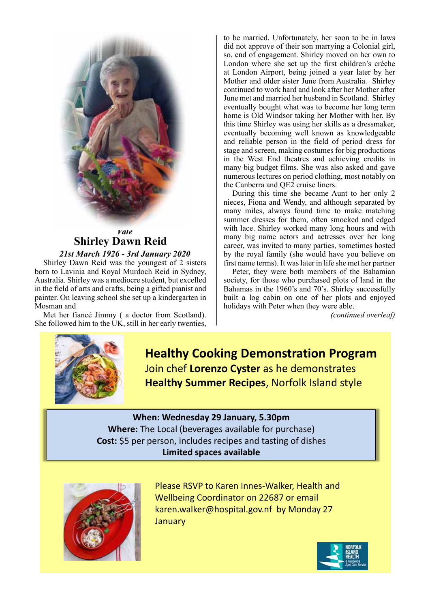

# *Vale* **Shirley Dawn Reid**

*21st March 1926 - 3rd January 2020* Shirley Dawn Reid was the youngest of 2 sisters born to Lavinia and Royal Murdoch Reid in Sydney, Australia. Shirley was a mediocre student, but excelled in the field of arts and crafts, being a gifted pianist and painter. On leaving school she set up a kindergarten in Mosman and

Met her fiancé Jimmy ( a doctor from Scotland). She followed him to the UK, still in her early twenties, to be married. Unfortunately, her soon to be in laws did not approve of their son marrying a Colonial girl, so, end of engagement. Shirley moved on her own to London where she set up the first children's crèche at London Airport, being joined a year later by her Mother and older sister June from Australia. Shirley continued to work hard and look after her Mother after June met and married her husband in Scotland. Shirley eventually bought what was to become her long term home is Old Windsor taking her Mother with her. By this time Shirley was using her skills as a dressmaker, eventually becoming well known as knowledgeable and reliable person in the field of period dress for stage and screen, making costumes for big productions in the West End theatres and achieving credits in many big budget films. She was also asked and gave numerous lectures on period clothing, most notably on the Canberra and QE2 cruise liners.

During this time she became Aunt to her only 2 nieces, Fiona and Wendy, and although separated by many miles, always found time to make matching summer dresses for them, often smocked and edged with lace. Shirley worked many long hours and with many big name actors and actresses over her long career, was invited to many parties, sometimes hosted by the royal family (she would have you believe on first name terms). It was later in life she met her partner

Peter, they were both members of the Bahamian society, for those who purchased plots of land in the Bahamas in the 1960's and 70's. Shirley successfully built a log cabin on one of her plots and enjoyed holidays with Peter when they were able.

*(continued overleaf)*



**Healthy Cooking Demonstration Program** Join chef **Lorenzo Cyster** as he demonstrates **Healthy Summer Recipes**, Norfolk Island style

## **When: Wednesday 29 January, 5.30pm Where:** The Local (beverages available for purchase) **Cost:** \$5 per person, includes recipes and tasting of dishes

**Limited spaces available**



Please RSVP to Karen Innes-Walker, Health and Wellbeing Coordinator on 22687 or email karen.walker@hospital.gov.nf by Monday 27 **January**